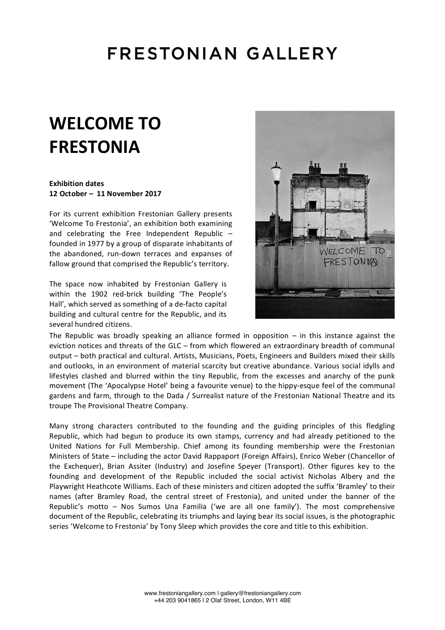### **FRESTONIAN GALLERY**

# **WELCOME TO FRESTONIA**

#### **Exhibition dates 12 October – 11 November 2017**

For its current exhibition Frestonian Gallery presents 'Welcome To Frestonia', an exhibition both examining and celebrating the Free Independent Republic  $$ founded in 1977 by a group of disparate inhabitants of the abandoned, run-down terraces and expanses of fallow ground that comprised the Republic's territory.

The space now inhabited by Frestonian Gallery is within the 1902 red-brick building 'The People's Hall', which served as something of a de-facto capital building and cultural centre for the Republic, and its several hundred citizens.



The Republic was broadly speaking an alliance formed in opposition  $-$  in this instance against the eviction notices and threats of the GLC – from which flowered an extraordinary breadth of communal output – both practical and cultural. Artists, Musicians, Poets, Engineers and Builders mixed their skills and outlooks, in an environment of material scarcity but creative abundance. Various social idylls and lifestyles clashed and blurred within the tiny Republic, from the excesses and anarchy of the punk movement (The 'Apocalypse Hotel' being a favourite venue) to the hippy-esque feel of the communal gardens and farm, through to the Dada / Surrealist nature of the Frestonian National Theatre and its troupe The Provisional Theatre Company.

Many strong characters contributed to the founding and the guiding principles of this fledgling Republic, which had begun to produce its own stamps, currency and had already petitioned to the United Nations for Full Membership. Chief among its founding membership were the Frestonian Ministers of State – including the actor David Rappaport (Foreign Affairs), Enrico Weber (Chancellor of the Exchequer), Brian Assiter (Industry) and Josefine Speyer (Transport). Other figures key to the founding and development of the Republic included the social activist Nicholas Albery and the Playwright Heathcote Williams. Each of these ministers and citizen adopted the suffix 'Bramley' to their names (after Bramley Road, the central street of Frestonia), and united under the banner of the Republic's motto  $-$  Nos Sumos Una Familia ('we are all one family'). The most comprehensive document of the Republic, celebrating its triumphs and laying bear its social issues, is the photographic series 'Welcome to Frestonia' by Tony Sleep which provides the core and title to this exhibition.